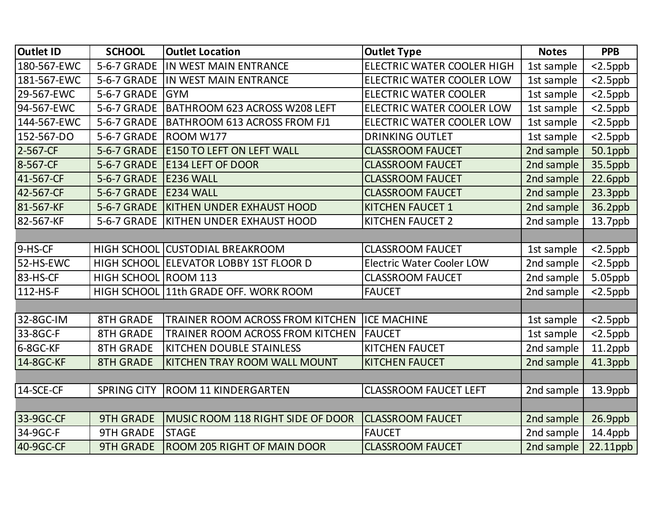| <b>Outlet ID</b> | <b>SCHOOL</b>        | <b>Outlet Location</b>                  | <b>Outlet Type</b>               | <b>Notes</b> | <b>PPB</b> |
|------------------|----------------------|-----------------------------------------|----------------------------------|--------------|------------|
| 180-567-EWC      | 5-6-7 GRADE          | IN WEST MAIN ENTRANCE                   | ELECTRIC WATER COOLER HIGH       | 1st sample   | $<$ 2.5ppb |
| 181-567-EWC      | 5-6-7 GRADE          | IN WEST MAIN ENTRANCE                   | ELECTRIC WATER COOLER LOW        | 1st sample   | $<$ 2.5ppb |
| 29-567-EWC       | 5-6-7 GRADE          | <b>GYM</b>                              | <b>ELECTRIC WATER COOLER</b>     | 1st sample   | $<$ 2.5ppb |
| 94-567-EWC       | 5-6-7 GRADE          | <b>BATHROOM 623 ACROSS W208 LEFT</b>    | ELECTRIC WATER COOLER LOW        | 1st sample   | $<$ 2.5ppb |
| 144-567-EWC      | 5-6-7 GRADE          | <b>BATHROOM 613 ACROSS FROM FJ1</b>     | ELECTRIC WATER COOLER LOW        | 1st sample   | $<$ 2.5ppb |
| 152-567-DO       | 5-6-7 GRADE          | ROOM W177                               | <b>DRINKING OUTLET</b>           | 1st sample   | $<$ 2.5ppb |
| 2-567-CF         | 5-6-7 GRADE          | <b>E150 TO LEFT ON LEFT WALL</b>        | <b>CLASSROOM FAUCET</b>          | 2nd sample   | 50.1ppb    |
| 8-567-CF         | 5-6-7 GRADE          | <b>E134 LEFT OF DOOR</b>                | <b>CLASSROOM FAUCET</b>          | 2nd sample   | 35.5ppb    |
| 41-567-CF        | 5-6-7 GRADE          | E236 WALL                               | <b>CLASSROOM FAUCET</b>          | 2nd sample   | 22.6ppb    |
| 42-567-CF        | 5-6-7 GRADE          | E234 WALL                               | <b>CLASSROOM FAUCET</b>          | 2nd sample   | $23.3$ ppb |
| 81-567-KF        | 5-6-7 GRADE          | <b>KITHEN UNDER EXHAUST HOOD</b>        | <b>KITCHEN FAUCET 1</b>          | 2nd sample   | 36.2ppb    |
| 82-567-KF        | 5-6-7 GRADE          | KITHEN UNDER EXHAUST HOOD               | KITCHEN FAUCET 2                 | 2nd sample   | $13.7$ ppb |
|                  |                      |                                         |                                  |              |            |
| 9-HS-CF          |                      | HIGH SCHOOL CUSTODIAL BREAKROOM         | <b>CLASSROOM FAUCET</b>          | 1st sample   | $<$ 2.5ppb |
| 52-HS-EWC        |                      | HIGH SCHOOL ELEVATOR LOBBY 1ST FLOOR D  | <b>Electric Water Cooler LOW</b> | 2nd sample   | $<$ 2.5ppb |
| 83-HS-CF         | HIGH SCHOOL ROOM 113 |                                         | <b>CLASSROOM FAUCET</b>          | 2nd sample   | 5.05ppb    |
| 112-HS-F         |                      | HIGH SCHOOL 11th GRADE OFF. WORK ROOM   | <b>FAUCET</b>                    | 2nd sample   | $<$ 2.5ppb |
|                  |                      |                                         |                                  |              |            |
| 32-8GC-IM        | <b>8TH GRADE</b>     | <b>TRAINER ROOM ACROSS FROM KITCHEN</b> | <b>ICE MACHINE</b>               | 1st sample   | $<$ 2.5ppb |
| 33-8GC-F         | <b>8TH GRADE</b>     | TRAINER ROOM ACROSS FROM KITCHEN        | <b>FAUCET</b>                    | 1st sample   | $<$ 2.5ppb |
| 6-8GC-KF         | <b>8TH GRADE</b>     | <b>KITCHEN DOUBLE STAINLESS</b>         | KITCHEN FAUCET                   | 2nd sample   | $11.2$ ppb |
| 14-8GC-KF        | <b>8TH GRADE</b>     | KITCHEN TRAY ROOM WALL MOUNT            | <b>KITCHEN FAUCET</b>            | 2nd sample   | 41.3ppb    |
|                  |                      |                                         |                                  |              |            |
| 14-SCE-CF        | <b>SPRING CITY</b>   | <b>ROOM 11 KINDERGARTEN</b>             | <b>CLASSROOM FAUCET LEFT</b>     | 2nd sample   | $13.9$ ppb |
|                  |                      |                                         |                                  |              |            |
| 33-9GC-CF        | <b>9TH GRADE</b>     | MUSIC ROOM 118 RIGHT SIDE OF DOOR       | <b>CLASSROOM FAUCET</b>          | 2nd sample   | $26.9$ ppb |
| 34-9GC-F         | <b>9TH GRADE</b>     | <b>STAGE</b>                            | <b>FAUCET</b>                    | 2nd sample   | $14.4$ ppb |
| 40-9GC-CF        | <b>9TH GRADE</b>     | <b>ROOM 205 RIGHT OF MAIN DOOR</b>      | <b>CLASSROOM FAUCET</b>          | 2nd sample   | 22.11ppb   |